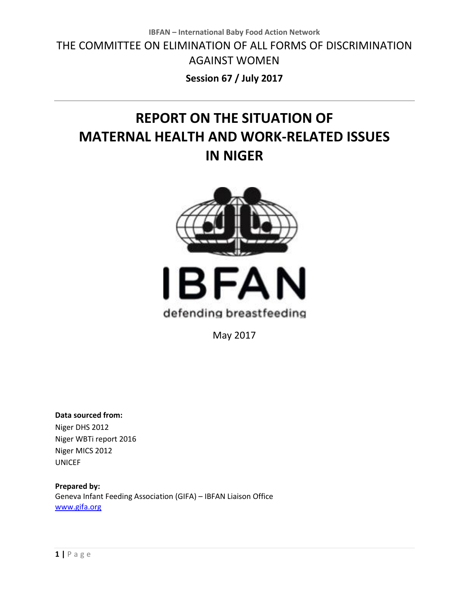**IBFAN – International Baby Food Action Network** THE COMMITTEE ON ELIMINATION OF ALL FORMS OF DISCRIMINATION AGAINST WOMEN **Session 67 / July 2017**

# **REPORT ON THE SITUATION OF MATERNAL HEALTH AND WORK-RELATED ISSUES IN NIGER**





May 2017

**Data sourced from:**

Niger DHS 2012 Niger WBTi report 2016 Niger MICS 2012 UNICEF

**Prepared by:** Geneva Infant Feeding Association (GIFA) – IBFAN Liaison Office [www.gifa.org](http://www.gifa.org/)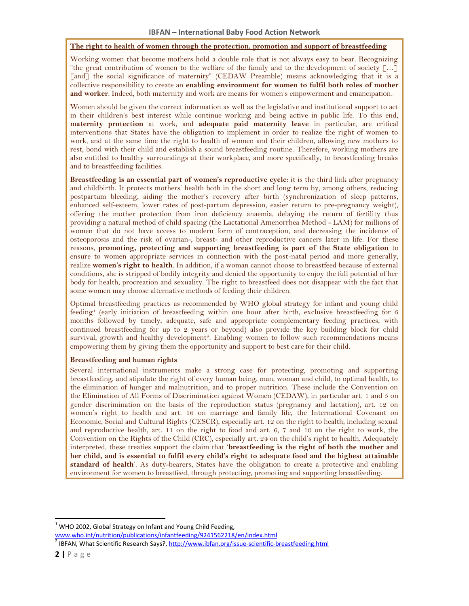#### **The right to health of women through the protection, promotion and support of breastfeeding**

Working women that become mothers hold a double role that is not always easy to bear. Recognizing "the great contribution of women to the welfare of the family and to the development of society […] [and] the social significance of maternity" (CEDAW Preamble) means acknowledging that it is a collective responsibility to create an **enabling environment for women to fulfil both roles of mother and worker**. Indeed, both maternity and work are means for women's empowerment and emancipation.

Women should be given the correct information as well as the legislative and institutional support to act in their children's best interest while continue working and being active in public life. To this end, **maternity protection** at work, and **adequate paid maternity leave** in particular, are critical interventions that States have the obligation to implement in order to realize the right of women to work, and at the same time the right to health of women and their children, allowing new mothers to rest, bond with their child and establish a sound breastfeeding routine. Therefore, working mothers are also entitled to healthy surroundings at their workplace, and more specifically, to breastfeeding breaks and to breastfeeding facilities.

**Breastfeeding is an essential part of women's reproductive cycle**: it is the third link after pregnancy and childbirth. It protects mothers' health both in the short and long term by, among others, reducing postpartum bleeding, aiding the mother's recovery after birth (synchronization of sleep patterns, enhanced self-esteem, lower rates of post-partum depression, easier return to pre-pregnancy weight), offering the mother protection from iron deficiency anaemia, delaying the return of fertility thus providing a natural method of child spacing (the Lactational Amenorrhea Method - LAM) for millions of women that do not have access to modern form of contraception, and decreasing the incidence of osteoporosis and the risk of ovarian-, breast- and other reproductive cancers later in life. For these reasons, **promoting, protecting and supporting breastfeeding is part of the State obligation** to ensure to women appropriate services in connection with the post-natal period and more generally, realize **women's right to health**. In addition, if a woman cannot choose to breastfeed because of external conditions, she is stripped of bodily integrity and denied the opportunity to enjoy the full potential of her body for health, procreation and sexuality. The right to breastfeed does not disappear with the fact that some women may choose alternative methods of feeding their children.

Optimal breastfeeding practices as recommended by WHO global strategy for infant and young child feeding<sup>1</sup> (early initiation of breastfeeding within one hour after birth, exclusive breastfeeding for 6 months followed by timely, adequate, safe and appropriate complementary feeding practices, with continued breastfeeding for up to 2 years or beyond) also provide the key building block for child survival, growth and healthy development<sup>2</sup>. Enabling women to follow such recommendations means empowering them by giving them the opportunity and support to best care for their child.

#### **Breastfeeding and human rights**

Several international instruments make a strong case for protecting, promoting and supporting breastfeeding, and stipulate the right of every human being, man, woman and child, to optimal health, to the elimination of hunger and malnutrition, and to proper nutrition. These include the Convention on the Elimination of All Forms of Discrimination against Women (CEDAW), in particular art. 1 and 5 on gender discrimination on the basis of the reproduction status (pregnancy and lactation), art. 12 on women's right to health and art. 16 on marriage and family life, the International Covenant on Economic, Social and Cultural Rights (CESCR), especially art. 12 on the right to health, including sexual and reproductive health, art. 11 on the right to food and art. 6, 7 and 10 on the right to work, the Convention on the Rights of the Child (CRC), especially art. 24 on the child's right to health. Adequately interpreted, these treaties support the claim that '**breastfeeding is the right of both the mother and her child, and is essential to fulfil every child's right to adequate food and the highest attainable standard of health**'. As duty-bearers, States have the obligation to create a protective and enabling environment for women to breastfeed, through protecting, promoting and supporting breastfeeding.

 $\overline{\phantom{a}}$  $1$  WHO 2002, Global Strategy on Infant and Young Child Feeding, [www.who.int/nutrition/publications/infantfeeding/9241562218/en/index.html](http://www.who.int/nutrition/publications/infantfeeding/9241562218/en/index.html) <sup>2</sup> IBFAN, What Scientific Research Says?, <u>http://www.ibfan.org/issue-scientific-breastfeeding.html</u>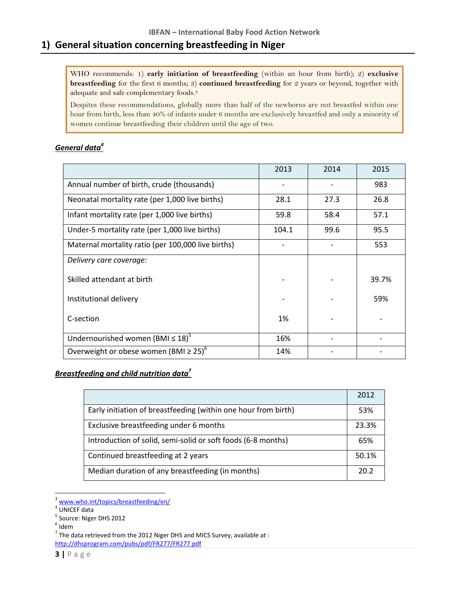### **1) General situation concerning breastfeeding in Niger**

WHO recommends: 1) **early initiation of breastfeeding** (within an hour from birth); 2) **exclusive breastfeeding** for the first 6 months; 3) **continued breastfeeding** for 2 years or beyond, together with adequate and safe complementary foods.<sup>3</sup>

Despites these recommendations, globally more than half of the newborns are not breastfed within one hour from birth, less than 40% of infants under 6 months are exclusively breastfed and only a minority of women continue breastfeeding their children until the age of two.

### *General data<sup>4</sup>*

|                                                         | 2013  | 2014 | 2015  |
|---------------------------------------------------------|-------|------|-------|
| Annual number of birth, crude (thousands)               |       |      | 983   |
| Neonatal mortality rate (per 1,000 live births)         | 28.1  | 27.3 | 26.8  |
| Infant mortality rate (per 1,000 live births)           | 59.8  | 58.4 | 57.1  |
| Under-5 mortality rate (per 1,000 live births)          | 104.1 | 99.6 | 95.5  |
| Maternal mortality ratio (per 100,000 live births)      |       |      | 553   |
| Delivery care coverage:                                 |       |      |       |
| Skilled attendant at birth                              |       |      | 39.7% |
| Institutional delivery                                  |       |      | 59%   |
| C-section                                               | 1%    |      |       |
| Undernourished women (BMI $\leq 18$ ) <sup>5</sup>      | 16%   |      |       |
| Overweight or obese women (BMI $\geq 25$ ) <sup>6</sup> | 14%   |      |       |

#### *Breastfeeding and child nutrition data<sup>7</sup>*

|                                                                | 2012  |
|----------------------------------------------------------------|-------|
| Early initiation of breastfeeding (within one hour from birth) | 53%   |
| Exclusive breastfeeding under 6 months                         | 23.3% |
| Introduction of solid, semi-solid or soft foods (6-8 months)   | 65%   |
| Continued breastfeeding at 2 years                             | 50.1% |
| Median duration of any breastfeeding (in months)               | 20.2  |

<sup>&</sup>lt;sup>3</sup> [www.who.int/topics/breastfeeding/en/](http://www.who.int/topics/breastfeeding/en/)

l

<sup>4</sup> UNICEF data

<sup>&</sup>lt;sup>5</sup> Source: Niger DHS 2012

 $^6$  Idem

 $^7$  The data retrieved from the 2012 Niger DHS and MICS Survey, available at : <http://dhsprogram.com/pubs/pdf/FR277/FR277.pdf>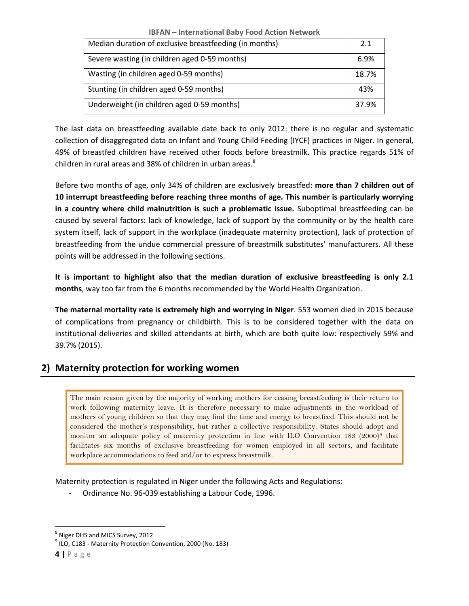**IBFAN – International Baby Food Action Network**

| Median duration of exclusive breastfeeding (in months) | 2.1   |
|--------------------------------------------------------|-------|
| Severe wasting (in children aged 0-59 months)          | 6.9%  |
| Wasting (in children aged 0-59 months)                 | 18.7% |
| Stunting (in children aged 0-59 months)                | 43%   |
| Underweight (in children aged 0-59 months)             | 37.9% |

The last data on breastfeeding available date back to only 2012: there is no regular and systematic collection of disaggregated data on Infant and Young Child Feeding (IYCF) practices in Niger. In general, 49% of breastfed children have received other foods before breastmilk. This practice regards 51% of children in rural areas and 38% of children in urban areas.<sup>8</sup>

Before two months of age, only 34% of children are exclusively breastfed: **more than 7 children out of 10 interrupt breastfeeding before reaching three months of age. This number is particularly worrying in a country where child malnutrition is such a problematic issue.** Suboptimal breastfeeding can be caused by several factors: lack of knowledge, lack of support by the community or by the health care system itself, lack of support in the workplace (inadequate maternity protection), lack of protection of breastfeeding from the undue commercial pressure of breastmilk substitutes' manufacturers. All these points will be addressed in the following sections.

**It is important to highlight also that the median duration of exclusive breastfeeding is only 2.1 months**, way too far from the 6 months recommended by the World Health Organization.

**The maternal mortality rate is extremely high and worrying in Niger**. 553 women died in 2015 because of complications from pregnancy or childbirth. This is to be considered together with the data on institutional deliveries and skilled attendants at birth, which are both quite low: respectively 59% and 39.7% (2015).

### **2) Maternity protection for working women**

The main reason given by the majority of working mothers for ceasing breastfeeding is their return to work following maternity leave. It is therefore necessary to make adjustments in the workload of mothers of young children so that they may find the time and energy to breastfeed. This should not be considered the mother's responsibility, but rather a collective responsibility. States should adopt and monitor an adequate policy of maternity protection in line with ILO Convention 183 (2000)<sup>9</sup> that facilitates six months of exclusive breastfeeding for women employed in all sectors, and facilitate workplace accommodations to feed and/or to express breastmilk.

Maternity protection is regulated in Niger under the following Acts and Regulations:

- Ordinance No. 96-039 establishing a Labour Code, 1996.

 $\overline{\phantom{a}}$ 

<sup>&</sup>lt;sup>8</sup> Niger DHS and MICS Survey, 2012

<sup>&</sup>lt;sup>9</sup> ILO, C183 - Maternity Protection Convention, 2000 (No. 183)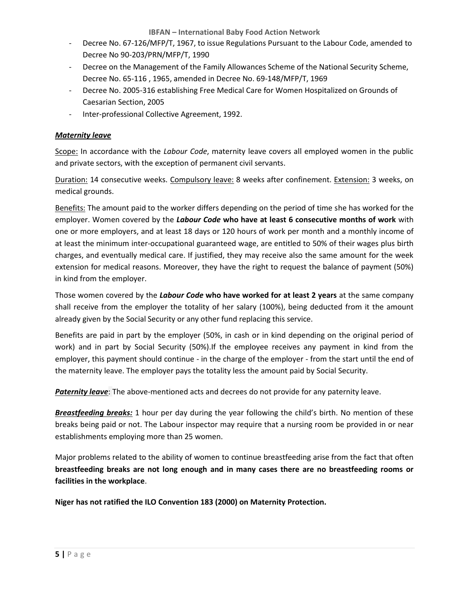**IBFAN – International Baby Food Action Network**

- Decree No. 67-126/MFP/T, 1967, to issue Regulations Pursuant to the Labour Code, amended to Decree No 90-203/PRN/MFP/T, 1990
- Decree on the Management of the Family Allowances Scheme of the National Security Scheme, Decree No. 65-116 , 1965, amended in Decree No. 69-148/MFP/T, 1969
- Decree No. 2005-316 establishing Free Medical Care for Women Hospitalized on Grounds of Caesarian Section, 2005
- Inter-professional Collective Agreement, 1992.

#### *Maternity leave*

Scope: In accordance with the *Labour Code*, maternity leave covers all employed women in the public and private sectors, with the exception of permanent civil servants.

Duration: 14 consecutive weeks. Compulsory leave: 8 weeks after confinement. Extension: 3 weeks, on medical grounds.

Benefits: The amount paid to the worker differs depending on the period of time she has worked for the employer. Women covered by the *Labour Code* **who have at least 6 consecutive months of work** with one or more employers, and at least 18 days or 120 hours of work per month and a monthly income of at least the minimum inter-occupational guaranteed wage, are entitled to 50% of their wages plus birth charges, and eventually medical care. If justified, they may receive also the same amount for the week extension for medical reasons. Moreover, they have the right to request the balance of payment (50%) in kind from the employer.

Those women covered by the *Labour Code* **who have worked for at least 2 years** at the same company shall receive from the employer the totality of her salary (100%), being deducted from it the amount already given by the Social Security or any other fund replacing this service.

Benefits are paid in part by the employer (50%, in cash or in kind depending on the original period of work) and in part by Social Security (50%).If the employee receives any payment in kind from the employer, this payment should continue - in the charge of the employer - from the start until the end of the maternity leave. The employer pays the totality less the amount paid by Social Security.

*Paternity leave*: The above-mentioned acts and decrees do not provide for any paternity leave.

*Breastfeeding breaks:* 1 hour per day during the year following the child's birth. No mention of these breaks being paid or not. The Labour inspector may require that a nursing room be provided in or near establishments employing more than 25 women.

Major problems related to the ability of women to continue breastfeeding arise from the fact that often **breastfeeding breaks are not long enough and in many cases there are no breastfeeding rooms or facilities in the workplace**.

**Niger has not ratified the ILO Convention 183 (2000) on Maternity Protection.**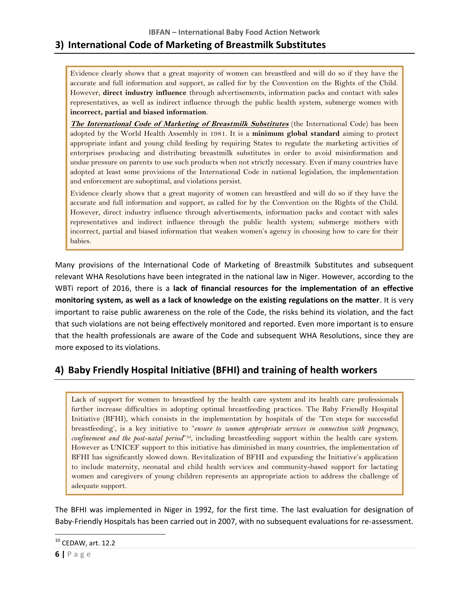### **3) International Code of Marketing of Breastmilk Substitutes**

Evidence clearly shows that a great majority of women can breastfeed and will do so if they have the accurate and full information and support, as called for by the Convention on the Rights of the Child. However, **direct industry influence** through advertisements, information packs and contact with sales representatives, as well as indirect influence through the public health system, submerge women with **incorrect, partial and biased information**.

**The International Code of Marketing of Breastmilk Substitutes** (the International Code) has been adopted by the World Health Assembly in 1981. It is a **minimum global standard** aiming to protect appropriate infant and young child feeding by requiring States to regulate the marketing activities of enterprises producing and distributing breastmilk substitutes in order to avoid misinformation and undue pressure on parents to use such products when not strictly necessary. Even if many countries have adopted at least some provisions of the International Code in national legislation, the implementation and enforcement are suboptimal, and violations persist.

Evidence clearly shows that a great majority of women can breastfeed and will do so if they have the accurate and full information and support, as called for by the Convention on the Rights of the Child. However, direct industry influence through advertisements, information packs and contact with sales representatives and indirect influence through the public health system; submerge mothers with incorrect, partial and biased information that weaken women's agency in choosing how to care for their babies.

Many provisions of the International Code of Marketing of Breastmilk Substitutes and subsequent relevant WHA Resolutions have been integrated in the national law in Niger. However, according to the WBTi report of 2016, there is a **lack of financial resources for the implementation of an effective monitoring system, as well as a lack of knowledge on the existing regulations on the matter**. It is very important to raise public awareness on the role of the Code, the risks behind its violation, and the fact that such violations are not being effectively monitored and reported. Even more important is to ensure that the health professionals are aware of the Code and subsequent WHA Resolutions, since they are more exposed to its violations.

### **4) Baby Friendly Hospital Initiative (BFHI) and training of health workers**

Lack of support for women to breastfeed by the health care system and its health care professionals further increase difficulties in adopting optimal breastfeeding practices. The Baby Friendly Hospital Initiative (BFHI), which consists in the implementation by hospitals of the 'Ten steps for successful breastfeeding', is a key initiative to "*ensure to women appropriate services in connection with pregnancy, confinement and the post-natal period*" <sup>10</sup>, including breastfeeding support within the health care system. However as UNICEF support to this initiative has diminished in many countries, the implementation of BFHI has significantly slowed down. Revitalization of BFHI and expanding the Initiative's application to include maternity, neonatal and child health services and community-based support for lactating women and caregivers of young children represents an appropriate action to address the challenge of adequate support.

The BFHI was implemented in Niger in 1992, for the first time. The last evaluation for designation of Baby-Friendly Hospitals has been carried out in 2007, with no subsequent evaluations for re-assessment.

**<sup>6</sup> |** P a g e  $\overline{\phantom{a}}$  $^{10}$  CEDAW, art. 12.2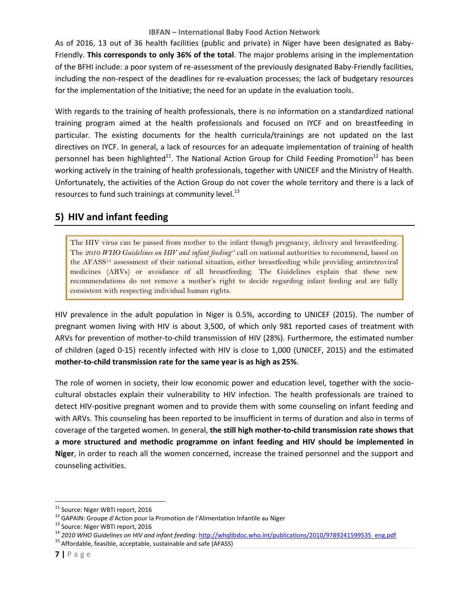#### **IBFAN – International Baby Food Action Network**

As of 2016, 13 out of 36 health facilities (public and private) in Niger have been designated as Baby-Friendly. **This corresponds to only 36% of the total**. The major problems arising in the implementation of the BFHI include: a poor system of re-assessment of the previously designated Baby-Friendly facilities, including the non-respect of the deadlines for re-evaluation processes; the lack of budgetary resources for the implementation of the Initiative; the need for an update in the evaluation tools.

With regards to the training of health professionals, there is no information on a standardized national training program aimed at the health professionals and focused on IYCF and on breastfeeding in particular. The existing documents for the health curricula/trainings are not updated on the last directives on IYCF. In general, a lack of resources for an adequate implementation of training of health personnel has been highlighted<sup>11</sup>. The National Action Group for Child Feeding Promotion<sup>12</sup> has been working actively in the training of health professionals, together with UNICEF and the Ministry of Health. Unfortunately, the activities of the Action Group do not cover the whole territory and there is a lack of resources to fund such trainings at community level. $^{13}$ 

### **5) HIV and infant feeding**

The HIV virus can be passed from mother to the infant though pregnancy, delivery and breastfeeding. The *2010 WHO Guidelines on HIV and infant feeding<sup>14</sup>* call on national authorities to recommend, based on the AFASS<sup>15</sup> assessment of their national situation, either breastfeeding while providing antiretroviral medicines (ARVs) or avoidance of all breastfeeding. The Guidelines explain that these new recommendations do not remove a mother's right to decide regarding infant feeding and are fully consistent with respecting individual human rights.

HIV prevalence in the adult population in Niger is 0.5%, according to UNICEF (2015). The number of pregnant women living with HIV is about 3,500, of which only 981 reported cases of treatment with ARVs for prevention of mother-to-child transmission of HIV (28%). Furthermore, the estimated number of children (aged 0-15) recently infected with HIV is close to 1,000 (UNICEF, 2015) and the estimated **mother-to-child transmission rate for the same year is as high as 25%**.

The role of women in society, their low economic power and education level, together with the sociocultural obstacles explain their vulnerability to HIV infection. The health professionals are trained to detect HIV-positive pregnant women and to provide them with some counseling on infant feeding and with ARVs. This counseling has been reported to be insufficient in terms of duration and also in terms of coverage of the targeted women. In general, **the still high mother-to-child transmission rate shows that a more structured and methodic programme on infant feeding and HIV should be implemented in Niger**, in order to reach all the women concerned, increase the trained personnel and the support and counseling activities.

 $\overline{\phantom{a}}$ 

<sup>&</sup>lt;sup>11</sup> Source: Niger WBTi report, 2016

<sup>12</sup> GAPAIN: Groupe d'Action pour la Promotion de l'Alimentation Infantile au Niger

<sup>13</sup> Source: Niger WBTi report, 2016

<sup>14</sup> *2010 WHO Guidelines on HIV and infant feeding*[: http://whqlibdoc.who.int/publications/2010/9789241599535\\_eng.pdf](http://whqlibdoc.who.int/publications/2010/9789241599535_eng.pdf)

<sup>15</sup> Affordable, feasible, acceptable, sustainable and safe (AFASS)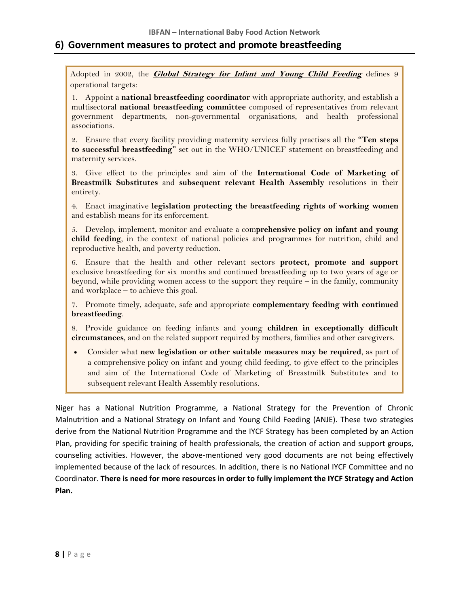### **6) Government measures to protect and promote breastfeeding**

Adopted in 2002, the **Global Strategy for Infant and Young Child Feeding** defines 9 operational targets:

1. Appoint a **national breastfeeding coordinator** with appropriate authority, and establish a multisectoral **national breastfeeding committee** composed of representatives from relevant government departments, non-governmental organisations, and health professional associations.

2. Ensure that every facility providing maternity services fully practises all the **"Ten steps to successful breastfeeding"** set out in the WHO/UNICEF statement on breastfeeding and maternity services.

3. Give effect to the principles and aim of the **International Code of Marketing of Breastmilk Substitutes** and **subsequent relevant Health Assembly** resolutions in their entirety.

4. Enact imaginative **legislation protecting the breastfeeding rights of working women** and establish means for its enforcement.

5. Develop, implement, monitor and evaluate a com**prehensive policy on infant and young child feeding**, in the context of national policies and programmes for nutrition, child and reproductive health, and poverty reduction.

6. Ensure that the health and other relevant sectors **protect, promote and support** exclusive breastfeeding for six months and continued breastfeeding up to two years of age or beyond, while providing women access to the support they require – in the family, community and workplace – to achieve this goal.

7. Promote timely, adequate, safe and appropriate **complementary feeding with continued breastfeeding**.

8. Provide guidance on feeding infants and young **children in exceptionally difficult circumstances**, and on the related support required by mothers, families and other caregivers.

 Consider what **new legislation or other suitable measures may be required**, as part of a comprehensive policy on infant and young child feeding, to give effect to the principles and aim of the International Code of Marketing of Breastmilk Substitutes and to subsequent relevant Health Assembly resolutions.

Niger has a National Nutrition Programme, a National Strategy for the Prevention of Chronic Malnutrition and a National Strategy on Infant and Young Child Feeding (ANJE). These two strategies derive from the National Nutrition Programme and the IYCF Strategy has been completed by an Action Plan, providing for specific training of health professionals, the creation of action and support groups, counseling activities. However, the above-mentioned very good documents are not being effectively implemented because of the lack of resources. In addition, there is no National IYCF Committee and no Coordinator. **There is need for more resources in order to fully implement the IYCF Strategy and Action Plan.**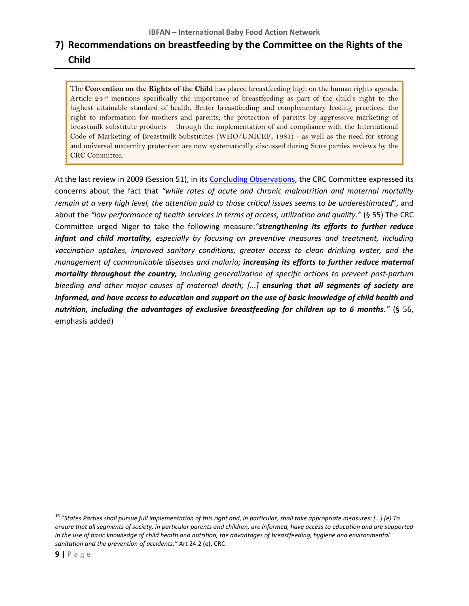## **7) Recommendations on breastfeeding by the Committee on the Rights of the Child**

The **Convention on the Rights of the Child** has placed breastfeeding high on the human rights agenda. Article 24<sup>16</sup> mentions specifically the importance of breastfeeding as part of the child's right to the highest attainable standard of health. Better breastfeeding and complementary feeding practices, the right to information for mothers and parents, the protection of parents by aggressive marketing of breastmilk substitute products – through the implementation of and compliance with the International Code of Marketing of Breastmilk Substitutes (WHO/UNICEF, 1981) - as well as the need for strong and universal maternity protection are now systematically discussed during State parties reviews by the CRC Committee.

At the last review in 2009 (Session 51), in its [Concluding Observations,](http://tbinternet.ohchr.org/_layouts/treatybodyexternal/Download.aspx?symbolno=CRC%2fC%2fNER%2fCO%2f2&Lang=en) the CRC Committee expressed its concerns about the fact that *"while rates of acute and chronic malnutrition and maternal mortality remain at a very high level, the attention paid to those critical issues seems to be underestimated*", and about the *"low performance of health services in terms of access, utilization and quality."* (§ 55) The CRC Committee urged Niger to take the following measure:*"strengthening its efforts to further reduce infant and child mortality, especially by focusing on preventive measures and treatment, including vaccination uptakes, improved sanitary conditions, greater access to clean drinking water, and the management of communicable diseases and malaria; increasing its efforts to further reduce maternal mortality throughout the country, including generalization of specific actions to prevent post-partum bleeding and other major causes of maternal death; [...] ensuring that all segments of society are informed, and have access to education and support on the use of basic knowledge of child health and nutrition, including the advantages of exclusive breastfeeding for children up to 6 months."* (§ 56, emphasis added)

 $\overline{a}$ 

<sup>16</sup> "*States Parties shall pursue full implementation of this right and, in particular, shall take appropriate measures: […] (e) To ensure that all segments of society, in particular parents and children, are informed, have access to education and are supported in the use of basic knowledge of child health and nutrition, the advantages of breastfeeding, hygiene and environmental sanitation and the prevention of accidents."* Art 24.2 (e), CRC